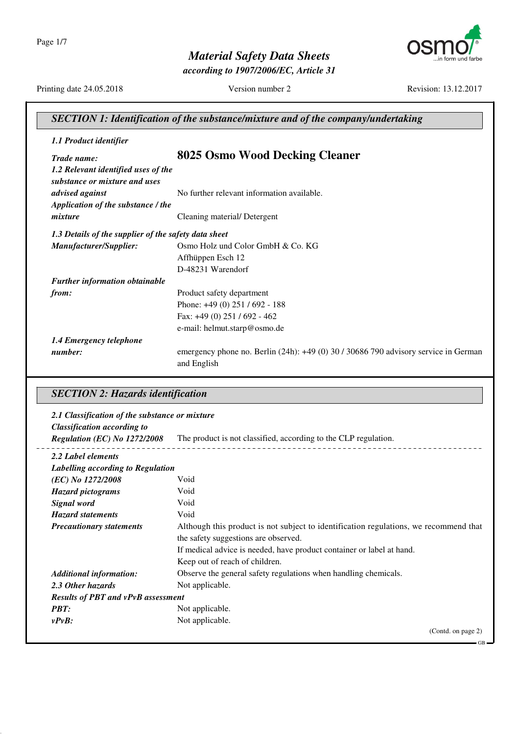Page 1/7

*Material Safety Data Sheets*

*according to 1907/2006/EC, Article 31*



Printing date 24.05.2018 Version number 2 Revision: 13.12.2017

GB

| <b>SECTION 1: Identification of the substance/mixture and of the company/undertaking</b> |                                                                                                    |
|------------------------------------------------------------------------------------------|----------------------------------------------------------------------------------------------------|
| 1.1 Product identifier                                                                   |                                                                                                    |
| Trade name:                                                                              | 8025 Osmo Wood Decking Cleaner                                                                     |
| 1.2 Relevant identified uses of the<br>substance or mixture and uses                     |                                                                                                    |
| advised against                                                                          | No further relevant information available.                                                         |
| Application of the substance / the                                                       |                                                                                                    |
| mixture                                                                                  | Cleaning material/Detergent                                                                        |
| 1.3 Details of the supplier of the safety data sheet                                     |                                                                                                    |
| Manufacturer/Supplier:                                                                   | Osmo Holz und Color GmbH & Co. KG                                                                  |
|                                                                                          | Affhüppen Esch 12                                                                                  |
|                                                                                          | D-48231 Warendorf                                                                                  |
| <b>Further information obtainable</b>                                                    |                                                                                                    |
| from:                                                                                    | Product safety department                                                                          |
|                                                                                          | Phone: +49 (0) 251 / 692 - 188                                                                     |
|                                                                                          | Fax: $+49(0)$ 251 / 692 - 462                                                                      |
|                                                                                          | e-mail: helmut.starp@osmo.de                                                                       |
| 1.4 Emergency telephone                                                                  |                                                                                                    |
| number:                                                                                  | emergency phone no. Berlin (24h): +49 (0) 30 / 30686 790 advisory service in German<br>and English |

## *SECTION 2: Hazards identification*

| 2.1 Classification of the substance or mixture |                                                                                       |
|------------------------------------------------|---------------------------------------------------------------------------------------|
| <b>Classification according to</b>             |                                                                                       |
| Regulation (EC) No 1272/2008                   | The product is not classified, according to the CLP regulation.                       |
| 2.2 Label elements                             |                                                                                       |
| Labelling according to Regulation              |                                                                                       |
| (EC) No 1272/2008                              | Void                                                                                  |
| <b>Hazard pictograms</b>                       | Void                                                                                  |
| Signal word                                    | Void                                                                                  |
| <b>Hazard statements</b>                       | Void                                                                                  |
| <b>Precautionary statements</b>                | Although this product is not subject to identification regulations, we recommend that |
|                                                | the safety suggestions are observed.                                                  |
|                                                | If medical advice is needed, have product container or label at hand.                 |
|                                                | Keep out of reach of children.                                                        |
| <b>Additional information:</b>                 | Observe the general safety regulations when handling chemicals.                       |
| 2.3 Other hazards                              | Not applicable.                                                                       |
| <b>Results of PBT and vPvB assessment</b>      |                                                                                       |
| <b>PBT:</b>                                    | Not applicable.                                                                       |
| $vPvB$ :                                       | Not applicable.                                                                       |
|                                                | (Contd. on page 2)                                                                    |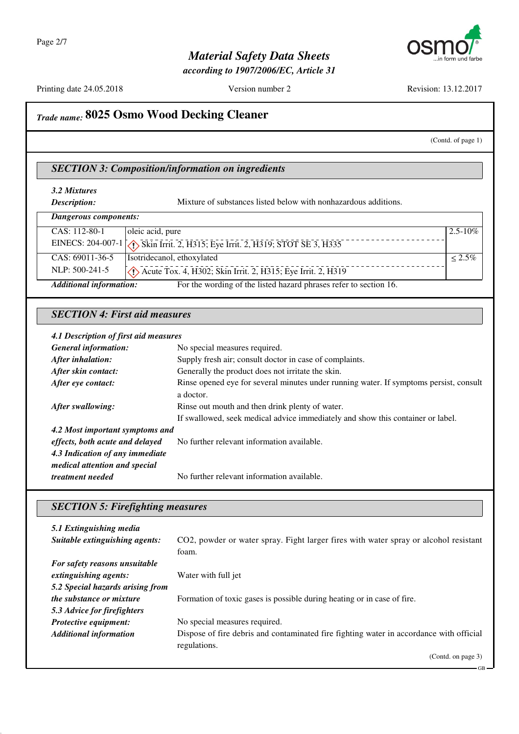

*according to 1907/2006/EC, Article 31*

Printing date 24.05.2018 Version number 2 Revision: 13.12.2017

## *Trade name:* **8025 Osmo Wood Decking Cleaner**

### (Contd. of page 1)

GB

### *SECTION 3: Composition/information on ingredients*

**Description:** Mixture of substances listed below with nonhazardous additions.

| Dangerous components:          |                                                                        |              |
|--------------------------------|------------------------------------------------------------------------|--------------|
| CAS: 112-80-1                  | oleic acid, pure                                                       | $2.5 - 10\%$ |
|                                |                                                                        |              |
| $CAS: 69011-36-5$              | Isotridecanol, ethoxylated                                             | $< 2.5\%$    |
| NLP: 500-241-5                 | $\sqrt{\}$ Acute Tox. 4, H302; Skin Irrit. 2, H315; Eye Irrit. 2, H319 |              |
| <b>Additional information:</b> | For the wording of the listed hazard phrases refer to section 16.      |              |

### *SECTION 4: First aid measures*

#### *4.1 Description of first aid measures*

| <b>General information:</b>     | No special measures required.                                                          |  |
|---------------------------------|----------------------------------------------------------------------------------------|--|
| After inhalation:               | Supply fresh air; consult doctor in case of complaints.                                |  |
| After skin contact:             | Generally the product does not irritate the skin.                                      |  |
| After eye contact:              | Rinse opened eye for several minutes under running water. If symptoms persist, consult |  |
|                                 | a doctor.                                                                              |  |
| After swallowing:               | Rinse out mouth and then drink plenty of water.                                        |  |
|                                 | If swallowed, seek medical advice immediately and show this container or label.        |  |
| 4.2 Most important symptoms and |                                                                                        |  |
| effects, both acute and delayed | No further relevant information available.                                             |  |
| 4.3 Indication of any immediate |                                                                                        |  |
| medical attention and special   |                                                                                        |  |
| treatment needed                | No further relevant information available.                                             |  |

### *SECTION 5: Firefighting measures*

| 5.1 Extinguishing media          |                                                                                         |
|----------------------------------|-----------------------------------------------------------------------------------------|
| Suitable extinguishing agents:   | CO2, powder or water spray. Fight larger fires with water spray or alcohol resistant    |
|                                  | foam.                                                                                   |
| For safety reasons unsuitable    |                                                                                         |
| extinguishing agents:            | Water with full jet                                                                     |
| 5.2 Special hazards arising from |                                                                                         |
| <i>the substance or mixture</i>  | Formation of toxic gases is possible during heating or in case of fire.                 |
| 5.3 Advice for firefighters      |                                                                                         |
| Protective equipment:            | No special measures required.                                                           |
| <b>Additional information</b>    | Dispose of fire debris and contaminated fire fighting water in accordance with official |
|                                  | regulations.                                                                            |
|                                  | (Contd. on page 3)                                                                      |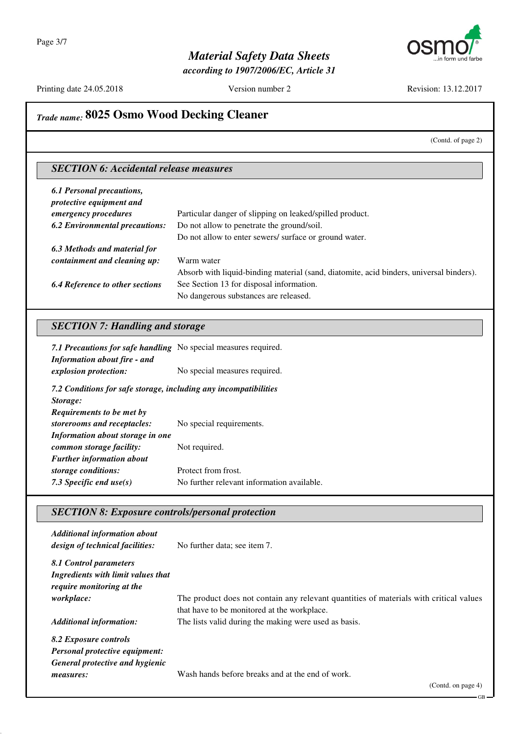

*according to 1907/2006/EC, Article 31*

Printing date 24.05.2018 Version number 2 Revision: 13.12.2017

# *Trade name:* **8025 Osmo Wood Decking Cleaner**

(Contd. of page 2)

### *SECTION 6: Accidental release measures*

| <b>6.1 Personal precautions,</b><br>protective equipment and |                                                                                         |
|--------------------------------------------------------------|-----------------------------------------------------------------------------------------|
| emergency procedures                                         | Particular danger of slipping on leaked/spilled product.                                |
| <b>6.2 Environmental precautions:</b>                        | Do not allow to penetrate the ground/soil.                                              |
|                                                              | Do not allow to enter sewers/ surface or ground water.                                  |
| 6.3 Methods and material for                                 |                                                                                         |
| containment and cleaning up:                                 | Warm water                                                                              |
|                                                              | Absorb with liquid-binding material (sand, diatomite, acid binders, universal binders). |
| <b>6.4 Reference to other sections</b>                       | See Section 13 for disposal information.                                                |
|                                                              | No dangerous substances are released.                                                   |

### *SECTION 7: Handling and storage*

| 7.1 Precautions for safe handling No special measures required.<br><b>Information about fire - and</b> |                                            |
|--------------------------------------------------------------------------------------------------------|--------------------------------------------|
| explosion protection:                                                                                  | No special measures required.              |
| 7.2 Conditions for safe storage, including any incompatibilities                                       |                                            |
| Storage:                                                                                               |                                            |
| Requirements to be met by                                                                              |                                            |
| storerooms and receptacles:                                                                            | No special requirements.                   |
| Information about storage in one                                                                       |                                            |
| common storage facility:                                                                               | Not required.                              |
| <b>Further information about</b>                                                                       |                                            |
| storage conditions:                                                                                    | Protect from frost.                        |
| 7.3 Specific end use $(s)$                                                                             | No further relevant information available. |

### *SECTION 8: Exposure controls/personal protection*

| <b>Additional information about</b><br>design of technical facilities:                            | No further data; see item 7.                                                                                                          |
|---------------------------------------------------------------------------------------------------|---------------------------------------------------------------------------------------------------------------------------------------|
| 8.1 Control parameters<br>Ingredients with limit values that<br><i>require monitoring at the</i>  |                                                                                                                                       |
| <i>workplace:</i>                                                                                 | The product does not contain any relevant quantities of materials with critical values<br>that have to be monitored at the workplace. |
| <b>Additional information:</b>                                                                    | The lists valid during the making were used as basis.                                                                                 |
| 8.2 Exposure controls<br><b>Personal protective equipment:</b><br>General protective and hygienic |                                                                                                                                       |
| measures:                                                                                         | Wash hands before breaks and at the end of work.                                                                                      |

GB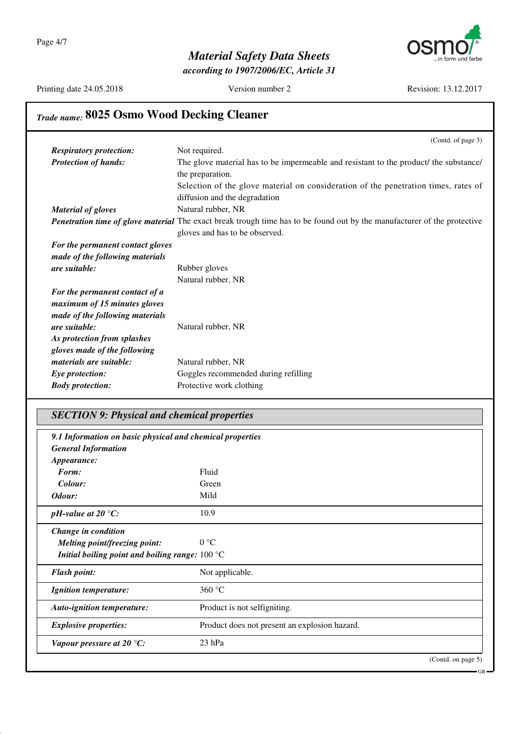

*according to 1907/2006/EC, Article 31*

Printing date 24.05.2018 Version number 2 Revision: 13.12.2017

GB

# *Trade name:* **8025 Osmo Wood Decking Cleaner**

|                                  | (Contd. of page 3)                                                                                                              |
|----------------------------------|---------------------------------------------------------------------------------------------------------------------------------|
| <b>Respiratory protection:</b>   | Not required.                                                                                                                   |
| <b>Protection of hands:</b>      | The glove material has to be impermeable and resistant to the product/ the substance/                                           |
|                                  | the preparation.                                                                                                                |
|                                  | Selection of the glove material on consideration of the penetration times, rates of                                             |
|                                  | diffusion and the degradation                                                                                                   |
| <b>Material of gloves</b>        | Natural rubber, NR                                                                                                              |
|                                  | <b>Penetration time of glove material</b> The exact break trough time has to be found out by the manufacturer of the protective |
|                                  | gloves and has to be observed.                                                                                                  |
| For the permanent contact gloves |                                                                                                                                 |
| made of the following materials  |                                                                                                                                 |
| are suitable:                    | Rubber gloves                                                                                                                   |
|                                  | Natural rubber, NR                                                                                                              |
| For the permanent contact of a   |                                                                                                                                 |
| maximum of 15 minutes gloves     |                                                                                                                                 |
| made of the following materials  |                                                                                                                                 |
| are suitable:                    | Natural rubber, NR                                                                                                              |
| As protection from splashes      |                                                                                                                                 |
| gloves made of the following     |                                                                                                                                 |
| materials are suitable:          | Natural rubber, NR                                                                                                              |
| Eye protection:                  | Goggles recommended during refilling                                                                                            |
| <b>Body protection:</b>          | Protective work clothing                                                                                                        |
|                                  |                                                                                                                                 |

### *SECTION 9: Physical and chemical properties*

| 9.1 Information on basic physical and chemical properties<br><b>General Information</b> |                                               |  |
|-----------------------------------------------------------------------------------------|-----------------------------------------------|--|
| Appearance:                                                                             |                                               |  |
| Form:                                                                                   | Fluid                                         |  |
| Colour:                                                                                 | Green                                         |  |
| Odour:                                                                                  | Mild                                          |  |
| pH-value at 20 $\degree$ C:                                                             | 10.9                                          |  |
| Change in condition                                                                     |                                               |  |
| <b>Melting point/freezing point:</b>                                                    | $0^{\circ}C$                                  |  |
| Initial boiling point and boiling range: $100 \degree C$                                |                                               |  |
| <b>Flash point:</b>                                                                     | Not applicable.                               |  |
| <b>Ignition temperature:</b>                                                            | 360 °C                                        |  |
| <b>Auto-ignition temperature:</b>                                                       | Product is not selfigniting.                  |  |
| <b>Explosive properties:</b>                                                            | Product does not present an explosion hazard. |  |
| Vapour pressure at 20 $°C$ :                                                            | $23$ hPa                                      |  |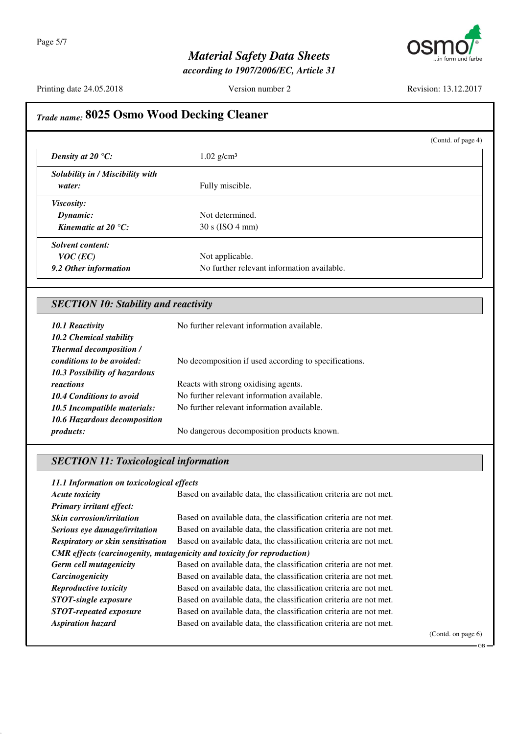

*according to 1907/2006/EC, Article 31*

Printing date 24.05.2018 Version number 2 Revision: 13.12.2017

## *Trade name:* **8025 Osmo Wood Decking Cleaner** (Contd. of page 4) *Density at 20 °C:* 1.02 g/cm<sup>3</sup> *Solubility in / Miscibility with water:* Fully miscible. *Viscosity: Dynamic:* Not determined. *Kinematic at 20 °C:* 30 s (ISO 4 mm) *Solvent content: VOC* (*EC*) Not applicable. **9.2 Other information** No further relevant information available. *SECTION 10: Stability and reactivity 10.1 Reactivity* No further relevant information available. *10.2 Chemical stability Thermal decomposition / conditions to be avoided:* No decomposition if used according to specifications. *10.3 Possibility of hazardous reactions* Reacts with strong oxidising agents. 10.4 Conditions to avoid No further relevant information available. *10.5 Incompatible materials:* No further relevant information available. *10.6 Hazardous decomposition products:* No dangerous decomposition products known. *SECTION 11: Toxicological information 11.1 Information on toxicological effects Acute toxicity* Based on available data, the classification criteria are not met. *Primary irritant effect:* **Skin corrosion/irritation** Based on available data, the classification criteria are not met. **Serious eye damage/irritation** Based on available data, the classification criteria are not met. *Respiratory or skin sensitisation* Based on available data, the classification criteria are not met. *CMR effects (carcinogenity, mutagenicity and toxicity for reproduction) Germ cell mutagenicity* Based on available data, the classification criteria are not met. **Carcinogenicity** Based on available data, the classification criteria are not met. *Reproductive toxicity* Based on available data, the classification criteria are not met. **STOT-single exposure** Based on available data, the classification criteria are not met. **STOT-repeated exposure** Based on available data, the classification criteria are not met. *Aspiration hazard* Based on available data, the classification criteria are not met.

(Contd. on page 6)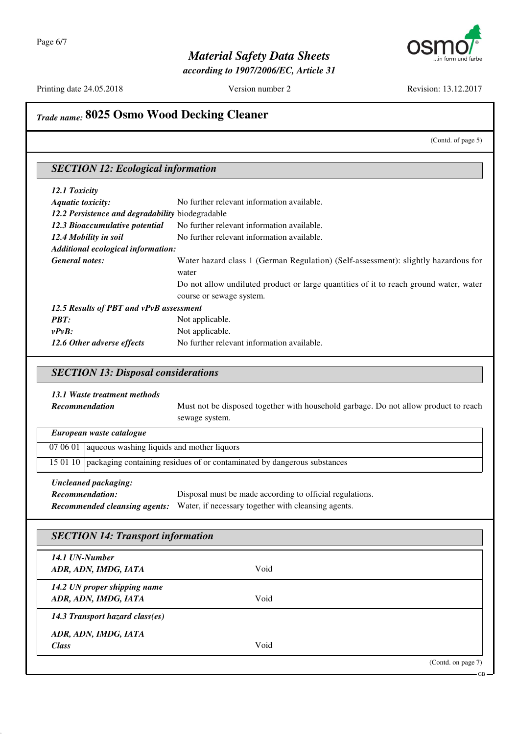

*according to 1907/2006/EC, Article 31*

Printing date 24.05.2018 Version number 2 Revision: 13.12.2017

# *Trade name:* **8025 Osmo Wood Decking Cleaner**

(Contd. of page 5)

GB

### *SECTION 12: Ecological information*

| 12.1 Toxicity                                    |                                                                                             |
|--------------------------------------------------|---------------------------------------------------------------------------------------------|
| <b>Aquatic toxicity:</b>                         | No further relevant information available.                                                  |
| 12.2 Persistence and degradability biodegradable |                                                                                             |
| 12.3 Bioaccumulative potential                   | No further relevant information available.                                                  |
| 12.4 Mobility in soil                            | No further relevant information available.                                                  |
| Additional ecological information:               |                                                                                             |
| General notes:                                   | Water hazard class 1 (German Regulation) (Self-assessment): slightly hazardous for<br>water |
|                                                  | Do not allow undiluted product or large quantities of it to reach ground water, water       |
|                                                  | course or sewage system.                                                                    |
| 12.5 Results of PBT and vPvB assessment          |                                                                                             |
| <b>PBT:</b>                                      | Not applicable.                                                                             |
| $v P v B$ :                                      | Not applicable.                                                                             |
| 12.6 Other adverse effects                       | No further relevant information available.                                                  |

### *SECTION 13: Disposal considerations*

### *13.1 Waste treatment methods*

| <b>Recommendation</b> | Must not be disposed together with household garbage. Do not allow product to reach |
|-----------------------|-------------------------------------------------------------------------------------|
|                       | sewage system.                                                                      |

| European waste catalogue                                                                                 |                                                                                   |  |
|----------------------------------------------------------------------------------------------------------|-----------------------------------------------------------------------------------|--|
|                                                                                                          | $070601$ aqueous washing liquids and mother liquors                               |  |
|                                                                                                          | 15 01 10 packaging containing residues of or contaminated by dangerous substances |  |
| <b>Uncleaned packaging:</b><br>Disposal must be made according to official regulations<br>Rogommondation |                                                                                   |  |

| Recommendation: | Disposal must be made according to official regulations.                                 |
|-----------------|------------------------------------------------------------------------------------------|
|                 | <b>Recommended cleansing agents:</b> Water, if necessary together with cleansing agents. |

## *SECTION 14: Transport information*

| 14.1 UN-Number                  |      |                    |
|---------------------------------|------|--------------------|
| ADR, ADN, IMDG, IATA            | Void |                    |
| 14.2 UN proper shipping name    |      |                    |
| ADR, ADN, IMDG, IATA            | Void |                    |
| 14.3 Transport hazard class(es) |      |                    |
| ADR, ADN, IMDG, IATA            |      |                    |
| <b>Class</b>                    | Void |                    |
|                                 |      | (Contd. on page 7) |